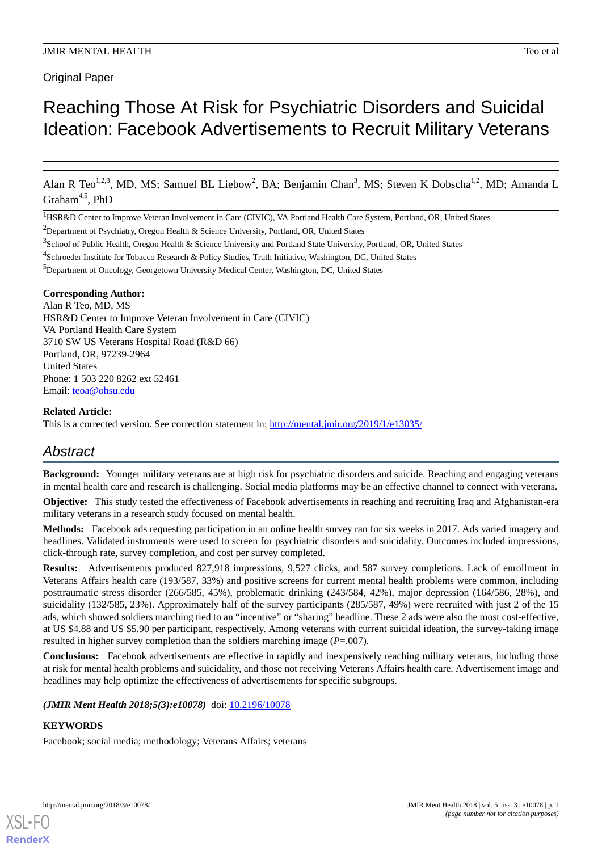# Reaching Those At Risk for Psychiatric Disorders and Suicidal Ideation: Facebook Advertisements to Recruit Military Veterans

Alan R Teo<sup>1,2,3</sup>, MD, MS; Samuel BL Liebow<sup>2</sup>, BA; Benjamin Chan<sup>3</sup>, MS; Steven K Dobscha<sup>1,2</sup>, MD; Amanda L Graham<sup>4,5</sup>, PhD

<sup>1</sup>HSR&D Center to Improve Veteran Involvement in Care (CIVIC), VA Portland Health Care System, Portland, OR, United States

<sup>2</sup>Department of Psychiatry, Oregon Health & Science University, Portland, OR, United States

<sup>5</sup>Department of Oncology, Georgetown University Medical Center, Washington, DC, United States

### **Corresponding Author:**

Alan R Teo, MD, MS HSR&D Center to Improve Veteran Involvement in Care (CIVIC) VA Portland Health Care System 3710 SW US Veterans Hospital Road (R&D 66) Portland, OR, 97239-2964 United States Phone: 1 503 220 8262 ext 52461 Email: [teoa@ohsu.edu](mailto:teoa@ohsu.edu)

### **Related Article:**

This is a corrected version. See correction statement in: <http://mental.jmir.org/2019/1/e13035/>

# *Abstract*

**Background:** Younger military veterans are at high risk for psychiatric disorders and suicide. Reaching and engaging veterans in mental health care and research is challenging. Social media platforms may be an effective channel to connect with veterans.

**Objective:** This study tested the effectiveness of Facebook advertisements in reaching and recruiting Iraq and Afghanistan-era military veterans in a research study focused on mental health.

**Methods:** Facebook ads requesting participation in an online health survey ran for six weeks in 2017. Ads varied imagery and headlines. Validated instruments were used to screen for psychiatric disorders and suicidality. Outcomes included impressions, click-through rate, survey completion, and cost per survey completed.

**Results:** Advertisements produced 827,918 impressions, 9,527 clicks, and 587 survey completions. Lack of enrollment in Veterans Affairs health care (193/587, 33%) and positive screens for current mental health problems were common, including posttraumatic stress disorder (266/585, 45%), problematic drinking (243/584, 42%), major depression (164/586, 28%), and suicidality (132/585, 23%). Approximately half of the survey participants (285/587, 49%) were recruited with just 2 of the 15 ads, which showed soldiers marching tied to an "incentive" or "sharing" headline. These 2 ads were also the most cost-effective, at US \$4.88 and US \$5.90 per participant, respectively. Among veterans with current suicidal ideation, the survey-taking image resulted in higher survey completion than the soldiers marching image (*P*=.007).

**Conclusions:** Facebook advertisements are effective in rapidly and inexpensively reaching military veterans, including those at risk for mental health problems and suicidality, and those not receiving Veterans Affairs health care. Advertisement image and headlines may help optimize the effectiveness of advertisements for specific subgroups.

### *(JMIR Ment Health 2018;5(3):e10078)* doi: [10.2196/10078](http://dx.doi.org/10.2196/10078)

# **KEYWORDS**

[XSL](http://www.w3.org/Style/XSL)•FO **[RenderX](http://www.renderx.com/)**

Facebook; social media; methodology; Veterans Affairs; veterans

<sup>&</sup>lt;sup>3</sup> School of Public Health, Oregon Health & Science University and Portland State University, Portland, OR, United States

<sup>&</sup>lt;sup>4</sup>Schroeder Institute for Tobacco Research & Policy Studies, Truth Initiative, Washington, DC, United States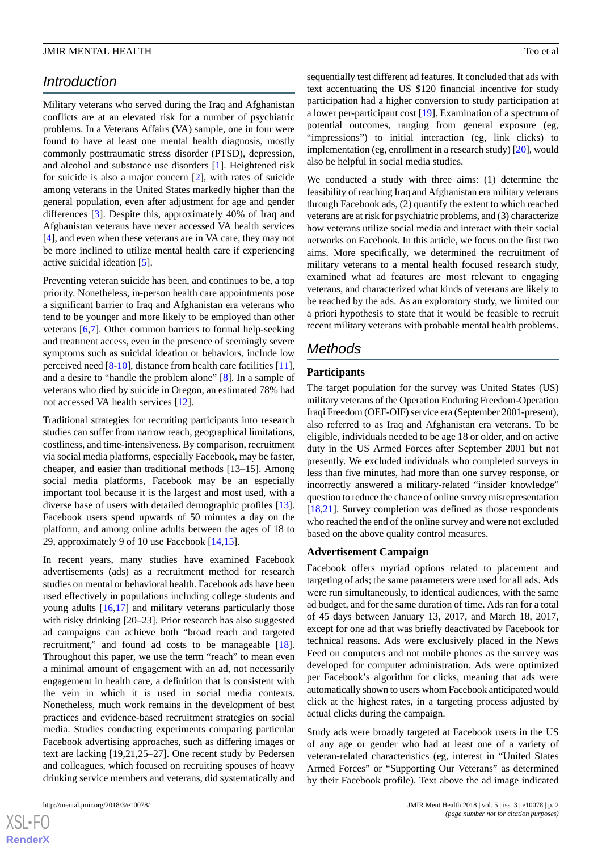# *Introduction*

Military veterans who served during the Iraq and Afghanistan conflicts are at an elevated risk for a number of psychiatric problems. In a Veterans Affairs (VA) sample, one in four were found to have at least one mental health diagnosis, mostly commonly posttraumatic stress disorder (PTSD), depression, and alcohol and substance use disorders [\[1](#page-8-0)]. Heightened risk for suicide is also a major concern [\[2](#page-8-1)], with rates of suicide among veterans in the United States markedly higher than the general population, even after adjustment for age and gender differences [[3\]](#page-8-2). Despite this, approximately 40% of Iraq and Afghanistan veterans have never accessed VA health services [[4\]](#page-8-3), and even when these veterans are in VA care, they may not be more inclined to utilize mental health care if experiencing active suicidal ideation [\[5](#page-8-4)].

Preventing veteran suicide has been, and continues to be, a top priority. Nonetheless, in-person health care appointments pose a significant barrier to Iraq and Afghanistan era veterans who tend to be younger and more likely to be employed than other veterans [[6](#page-8-5)[,7](#page-9-0)]. Other common barriers to formal help-seeking and treatment access, even in the presence of seemingly severe symptoms such as suicidal ideation or behaviors, include low perceived need [[8-](#page-9-1)[10\]](#page-9-2), distance from health care facilities [[11\]](#page-9-3), and a desire to "handle the problem alone" [[8\]](#page-9-1). In a sample of veterans who died by suicide in Oregon, an estimated 78% had not accessed VA health services [[12\]](#page-9-4).

Traditional strategies for recruiting participants into research studies can suffer from narrow reach, geographical limitations, costliness, and time-intensiveness. By comparison, recruitment via social media platforms, especially Facebook, may be faster, cheaper, and easier than traditional methods [13–15]. Among social media platforms, Facebook may be an especially important tool because it is the largest and most used, with a diverse base of users with detailed demographic profiles [[13\]](#page-9-5). Facebook users spend upwards of 50 minutes a day on the platform, and among online adults between the ages of 18 to 29, approximately 9 of 10 use Facebook [\[14](#page-9-6),[15\]](#page-9-7).

In recent years, many studies have examined Facebook advertisements (ads) as a recruitment method for research studies on mental or behavioral health. Facebook ads have been used effectively in populations including college students and young adults [[16](#page-9-8)[,17](#page-9-9)] and military veterans particularly those with risky drinking [20–23]. Prior research has also suggested ad campaigns can achieve both "broad reach and targeted recruitment," and found ad costs to be manageable [[18\]](#page-9-10). Throughout this paper, we use the term "reach" to mean even a minimal amount of engagement with an ad, not necessarily engagement in health care, a definition that is consistent with the vein in which it is used in social media contexts. Nonetheless, much work remains in the development of best practices and evidence-based recruitment strategies on social media. Studies conducting experiments comparing particular Facebook advertising approaches, such as differing images or text are lacking [19,21,25–27]. One recent study by Pedersen and colleagues, which focused on recruiting spouses of heavy drinking service members and veterans, did systematically and sequentially test different ad features. It concluded that ads with text accentuating the US \$120 financial incentive for study participation had a higher conversion to study participation at a lower per-participant cost [\[19](#page-9-11)]. Examination of a spectrum of potential outcomes, ranging from general exposure (eg, "impressions") to initial interaction (eg, link clicks) to implementation (eg, enrollment in a research study) [\[20](#page-9-12)], would also be helpful in social media studies.

We conducted a study with three aims: (1) determine the feasibility of reaching Iraq and Afghanistan era military veterans through Facebook ads, (2) quantify the extent to which reached veterans are at risk for psychiatric problems, and (3) characterize how veterans utilize social media and interact with their social networks on Facebook. In this article, we focus on the first two aims. More specifically, we determined the recruitment of military veterans to a mental health focused research study, examined what ad features are most relevant to engaging veterans, and characterized what kinds of veterans are likely to be reached by the ads. As an exploratory study, we limited our a priori hypothesis to state that it would be feasible to recruit recent military veterans with probable mental health problems.

# *Methods*

### **Participants**

The target population for the survey was United States (US) military veterans of the Operation Enduring Freedom-Operation Iraqi Freedom (OEF-OIF) service era (September 2001-present), also referred to as Iraq and Afghanistan era veterans. To be eligible, individuals needed to be age 18 or older, and on active duty in the US Armed Forces after September 2001 but not presently. We excluded individuals who completed surveys in less than five minutes, had more than one survey response, or incorrectly answered a military-related "insider knowledge" question to reduce the chance of online survey misrepresentation [[18,](#page-9-10)[21\]](#page-9-13). Survey completion was defined as those respondents who reached the end of the online survey and were not excluded based on the above quality control measures.

### **Advertisement Campaign**

Facebook offers myriad options related to placement and targeting of ads; the same parameters were used for all ads. Ads were run simultaneously, to identical audiences, with the same ad budget, and for the same duration of time. Ads ran for a total of 45 days between January 13, 2017, and March 18, 2017, except for one ad that was briefly deactivated by Facebook for technical reasons. Ads were exclusively placed in the News Feed on computers and not mobile phones as the survey was developed for computer administration. Ads were optimized per Facebook's algorithm for clicks, meaning that ads were automatically shown to users whom Facebook anticipated would click at the highest rates, in a targeting process adjusted by actual clicks during the campaign.

Study ads were broadly targeted at Facebook users in the US of any age or gender who had at least one of a variety of veteran-related characteristics (eg, interest in "United States Armed Forces" or "Supporting Our Veterans" as determined by their Facebook profile). Text above the ad image indicated

 $XS$ -FO **[RenderX](http://www.renderx.com/)**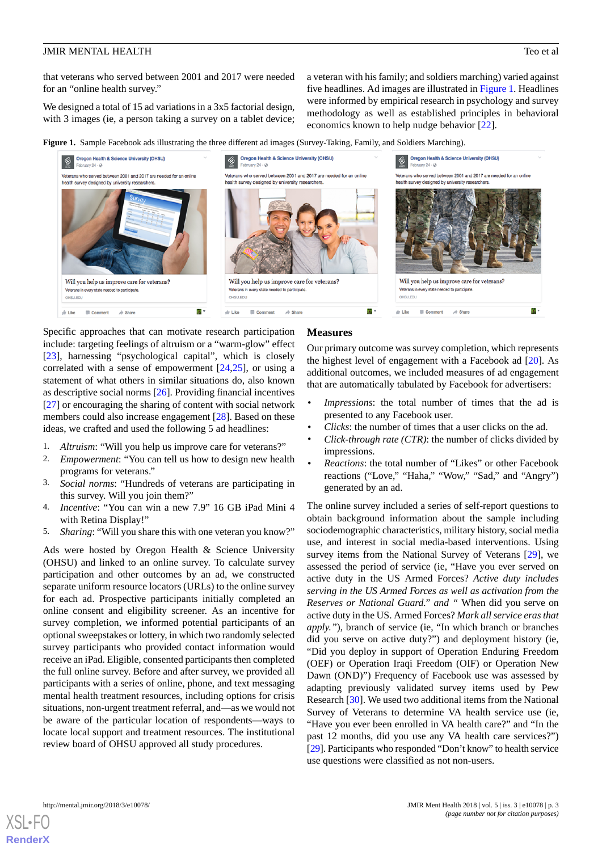that veterans who served between 2001 and 2017 were needed for an "online health survey."

We designed a total of 15 ad variations in a 3x5 factorial design, with 3 images (ie, a person taking a survey on a tablet device;

a veteran with his family; and soldiers marching) varied against five headlines. Ad images are illustrated in [Figure 1](#page-2-0). Headlines were informed by empirical research in psychology and survey methodology as well as established principles in behavioral economics known to help nudge behavior [[22\]](#page-9-14).

<span id="page-2-0"></span>**Figure 1.** Sample Facebook ads illustrating the three different ad images (Survey-Taking, Family, and Soldiers Marching).



Specific approaches that can motivate research participation include: targeting feelings of altruism or a "warm-glow" effect [[23\]](#page-9-15), harnessing "psychological capital", which is closely correlated with a sense of empowerment [[24,](#page-9-16)[25](#page-9-17)], or using a statement of what others in similar situations do, also known as descriptive social norms [[26\]](#page-9-18). Providing financial incentives [[27\]](#page-9-19) or encouraging the sharing of content with social network members could also increase engagement [[28\]](#page-9-20). Based on these ideas, we crafted and used the following 5 ad headlines:

- 1. *Altruism*: "Will you help us improve care for veterans?"
- 2. *Empowerment*: "You can tell us how to design new health programs for veterans."
- 3. *Social norms*: "Hundreds of veterans are participating in this survey. Will you join them?"
- 4. *Incentive*: "You can win a new 7.9" 16 GB iPad Mini 4 with Retina Display!"
- 5. *Sharing*: "Will you share this with one veteran you know?"

Ads were hosted by Oregon Health & Science University (OHSU) and linked to an online survey. To calculate survey participation and other outcomes by an ad, we constructed separate uniform resource locators (URLs) to the online survey for each ad. Prospective participants initially completed an online consent and eligibility screener. As an incentive for survey completion, we informed potential participants of an optional sweepstakes or lottery, in which two randomly selected survey participants who provided contact information would receive an iPad. Eligible, consented participants then completed the full online survey. Before and after survey, we provided all participants with a series of online, phone, and text messaging mental health treatment resources, including options for crisis situations, non-urgent treatment referral, and—as we would not be aware of the particular location of respondents—ways to locate local support and treatment resources. The institutional review board of OHSU approved all study procedures.

#### **Measures**

Our primary outcome was survey completion, which represents the highest level of engagement with a Facebook ad [[20\]](#page-9-12). As additional outcomes, we included measures of ad engagement that are automatically tabulated by Facebook for advertisers:

- *Impressions*: the total number of times that the ad is presented to any Facebook user.
- *Clicks*: the number of times that a user clicks on the ad.
- *Click-through rate (CTR)*: the number of clicks divided by impressions.
- *Reactions*: the total number of "Likes" or other Facebook reactions ("Love," "Haha," "Wow," "Sad," and "Angry") generated by an ad.

The online survey included a series of self-report questions to obtain background information about the sample including sociodemographic characteristics, military history, social media use, and interest in social media-based interventions. Using survey items from the National Survey of Veterans [[29\]](#page-9-21), we assessed the period of service (ie, "Have you ever served on active duty in the US Armed Forces? *Active duty includes serving in the US Armed Forces as well as activation from the Reserves or National Guard." and "* When did you serve on active duty in the US. Armed Forces? *Mark all service eras that apply."*), branch of service (ie, "In which branch or branches did you serve on active duty?") and deployment history (ie, "Did you deploy in support of Operation Enduring Freedom (OEF) or Operation Iraqi Freedom (OIF) or Operation New Dawn (OND)") Frequency of Facebook use was assessed by adapting previously validated survey items used by Pew Research [[30\]](#page-9-22). We used two additional items from the National Survey of Veterans to determine VA health service use (ie, "Have you ever been enrolled in VA health care?" and "In the past 12 months, did you use any VA health care services?") [[29\]](#page-9-21). Participants who responded "Don't know" to health service use questions were classified as not non-users.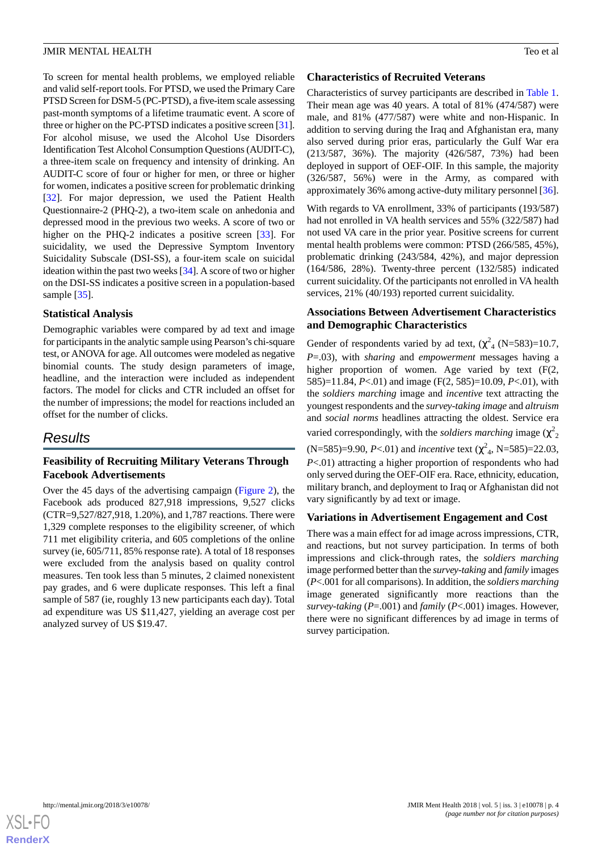To screen for mental health problems, we employed reliable and valid self-report tools. For PTSD, we used the Primary Care PTSD Screen for DSM-5 (PC-PTSD), a five-item scale assessing past-month symptoms of a lifetime traumatic event. A score of three or higher on the PC-PTSD indicates a positive screen [\[31\]](#page-10-0). For alcohol misuse, we used the Alcohol Use Disorders Identification Test Alcohol Consumption Questions (AUDIT-C), a three-item scale on frequency and intensity of drinking. An AUDIT-C score of four or higher for men, or three or higher for women, indicates a positive screen for problematic drinking [[32\]](#page-10-1). For major depression, we used the Patient Health Questionnaire-2 (PHQ-2), a two-item scale on anhedonia and depressed mood in the previous two weeks. A score of two or higher on the PHQ-2 indicates a positive screen [\[33](#page-10-2)]. For suicidality, we used the Depressive Symptom Inventory Suicidality Subscale (DSI-SS), a four-item scale on suicidal ideation within the past two weeks [[34\]](#page-10-3). A score of two or higher on the DSI-SS indicates a positive screen in a population-based sample [[35\]](#page-10-4).

### **Statistical Analysis**

Demographic variables were compared by ad text and image for participants in the analytic sample using Pearson's chi-square test, or ANOVA for age. All outcomes were modeled as negative binomial counts. The study design parameters of image, headline, and the interaction were included as independent factors. The model for clicks and CTR included an offset for the number of impressions; the model for reactions included an offset for the number of clicks.

# *Results*

# **Feasibility of Recruiting Military Veterans Through Facebook Advertisements**

Over the 45 days of the advertising campaign ([Figure 2](#page-4-0)), the Facebook ads produced 827,918 impressions, 9,527 clicks (CTR=9,527/827,918, 1.20%), and 1,787 reactions. There were 1,329 complete responses to the eligibility screener, of which 711 met eligibility criteria, and 605 completions of the online survey (ie, 605/711, 85% response rate). A total of 18 responses were excluded from the analysis based on quality control measures. Ten took less than 5 minutes, 2 claimed nonexistent pay grades, and 6 were duplicate responses. This left a final sample of 587 (ie, roughly 13 new participants each day). Total ad expenditure was US \$11,427, yielding an average cost per analyzed survey of US \$19.47.

### **Characteristics of Recruited Veterans**

Characteristics of survey participants are described in [Table 1](#page-5-0). Their mean age was 40 years. A total of 81% (474/587) were male, and 81% (477/587) were white and non-Hispanic. In addition to serving during the Iraq and Afghanistan era, many also served during prior eras, particularly the Gulf War era (213/587, 36%). The majority (426/587, 73%) had been deployed in support of OEF-OIF. In this sample, the majority (326/587, 56%) were in the Army, as compared with approximately 36% among active-duty military personnel [[36\]](#page-10-5).

With regards to VA enrollment, 33% of participants (193/587) had not enrolled in VA health services and 55% (322/587) had not used VA care in the prior year. Positive screens for current mental health problems were common: PTSD (266/585, 45%), problematic drinking (243/584, 42%), and major depression (164/586, 28%). Twenty-three percent (132/585) indicated current suicidality. Of the participants not enrolled in VA health services, 21% (40/193) reported current suicidality.

# **Associations Between Advertisement Characteristics and Demographic Characteristics**

Gender of respondents varied by ad text,  $(\chi^2_A \text{ (N=583)=10.7},$ *P*=.03), with *sharing* and *empowerment* messages having a higher proportion of women. Age varied by text (F(2, 585)=11.84, *P*<.01) and image (F(2, 585)=10.09, *P*<.01), with the *soldiers marching* image and *incentive* text attracting the youngest respondents and the *survey-taking image* and *altruism* and *social norms* headlines attracting the oldest. Service era varied correspondingly, with the *soldiers marching* image  $(\chi^2)$ 

 $(N=585)=9.90, P<0.1$  and *incentive* text  $(\chi^2_A, N=585)=22.03$ , *P*<.01) attracting a higher proportion of respondents who had only served during the OEF-OIF era. Race, ethnicity, education, military branch, and deployment to Iraq or Afghanistan did not vary significantly by ad text or image.

# **Variations in Advertisement Engagement and Cost**

There was a main effect for ad image across impressions, CTR, and reactions, but not survey participation. In terms of both impressions and click-through rates, the *soldiers marching* image performed better than the *survey-taking* and *family* images (*P*<.001 for all comparisons). In addition, the *soldiers marching* image generated significantly more reactions than the *survey-taking* (*P*=.001) and *family* (*P*<.001) images. However, there were no significant differences by ad image in terms of survey participation.

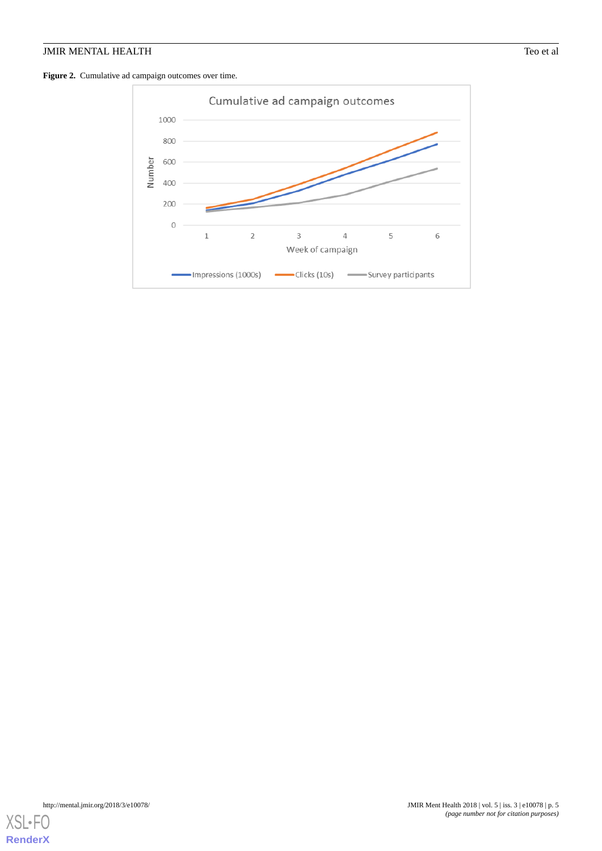## <span id="page-4-0"></span>Figure 2. Cumulative ad campaign outcomes over time.



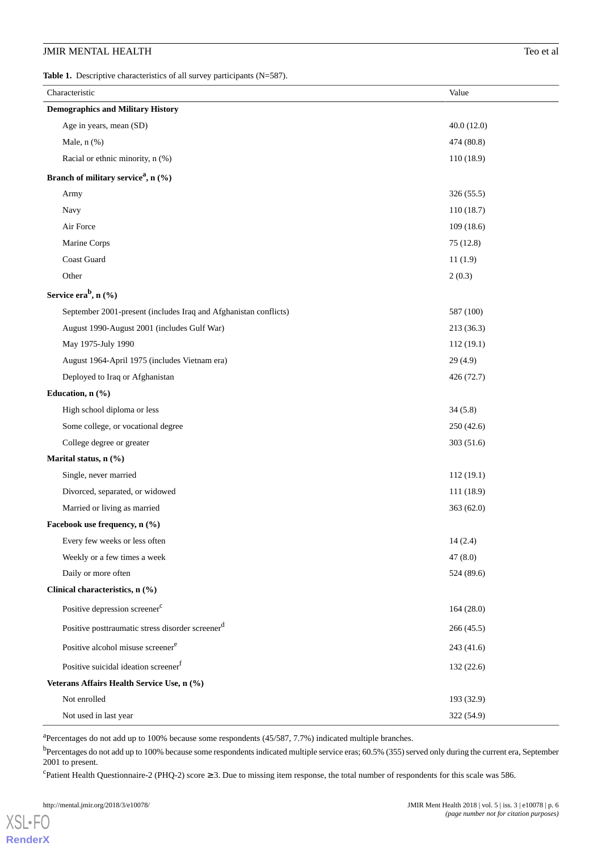<span id="page-5-0"></span>Table 1. Descriptive characteristics of all survey participants (N=587).

| Characteristic                                                   | Value      |  |  |  |  |
|------------------------------------------------------------------|------------|--|--|--|--|
| <b>Demographics and Military History</b>                         |            |  |  |  |  |
| Age in years, mean (SD)                                          | 40.0(12.0) |  |  |  |  |
| Male, $n$ $(\%)$                                                 | 474 (80.8) |  |  |  |  |
| Racial or ethnic minority, n (%)                                 | 110(18.9)  |  |  |  |  |
| Branch of military service <sup>a</sup> , n (%)                  |            |  |  |  |  |
| Army                                                             | 326 (55.5) |  |  |  |  |
| Navy                                                             | 110(18.7)  |  |  |  |  |
| Air Force                                                        | 109(18.6)  |  |  |  |  |
| Marine Corps                                                     | 75(12.8)   |  |  |  |  |
| Coast Guard                                                      | 11(1.9)    |  |  |  |  |
| Other                                                            | 2(0.3)     |  |  |  |  |
| Service era $b$ , n (%)                                          |            |  |  |  |  |
| September 2001-present (includes Iraq and Afghanistan conflicts) | 587 (100)  |  |  |  |  |
| August 1990-August 2001 (includes Gulf War)                      | 213 (36.3) |  |  |  |  |
| May 1975-July 1990                                               | 112(19.1)  |  |  |  |  |
| August 1964-April 1975 (includes Vietnam era)                    | 29(4.9)    |  |  |  |  |
| Deployed to Iraq or Afghanistan                                  | 426 (72.7) |  |  |  |  |
| Education, n (%)                                                 |            |  |  |  |  |
| High school diploma or less                                      | 34(5.8)    |  |  |  |  |
| Some college, or vocational degree                               | 250(42.6)  |  |  |  |  |
| College degree or greater                                        | 303 (51.6) |  |  |  |  |
| Marital status, n (%)                                            |            |  |  |  |  |
| Single, never married                                            | 112(19.1)  |  |  |  |  |
| Divorced, separated, or widowed                                  | 111 (18.9) |  |  |  |  |
| Married or living as married                                     | 363(62.0)  |  |  |  |  |
| Facebook use frequency, n (%)                                    |            |  |  |  |  |
| Every few weeks or less often                                    | 14(2.4)    |  |  |  |  |
| Weekly or a few times a week                                     | 47(8.0)    |  |  |  |  |
| Daily or more often                                              | 524 (89.6) |  |  |  |  |
| Clinical characteristics, n (%)                                  |            |  |  |  |  |
| Positive depression screener <sup>c</sup>                        | 164(28.0)  |  |  |  |  |
| Positive posttraumatic stress disorder screener <sup>d</sup>     | 266(45.5)  |  |  |  |  |
| Positive alcohol misuse screener <sup>e</sup>                    | 243(41.6)  |  |  |  |  |
| Positive suicidal ideation screener <sup>f</sup>                 | 132 (22.6) |  |  |  |  |
| Veterans Affairs Health Service Use, n (%)                       |            |  |  |  |  |
| Not enrolled                                                     | 193 (32.9) |  |  |  |  |
| Not used in last year                                            | 322 (54.9) |  |  |  |  |

<sup>a</sup>Percentages do not add up to 100% because some respondents (45/587, 7.7%) indicated multiple branches.

b<br>Percentages do not add up to 100% because some respondents indicated multiple service eras; 60.5% (355) served only during the current era, September 2001 to present.

 $c^{\text{c}}$ Patient Health Questionnaire-2 (PHQ-2) score  $\geq 3$ . Due to missing item response, the total number of respondents for this scale was 586.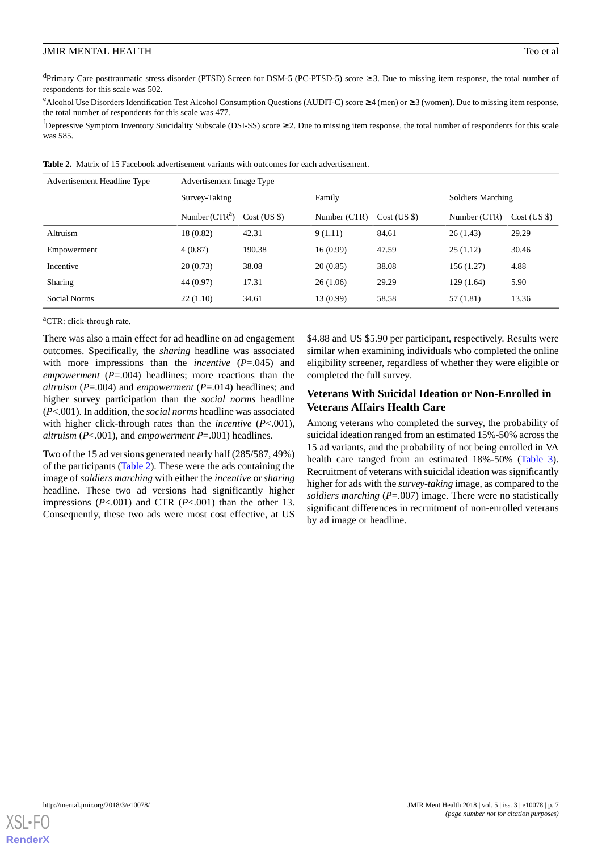dPrimary Care posttraumatic stress disorder (PTSD) Screen for DSM-5 (PC-PTSD-5) score ≥ 3. Due to missing item response, the total number of respondents for this scale was 502.

<sup>e</sup>Alcohol Use Disorders Identification Test Alcohol Consumption Questions (AUDIT-C) score  $\geq 4$  (men) or  $\geq 3$  (women). Due to missing item response, the total number of respondents for this scale was 477.

 ${}^{f}$ Depressive Symptom Inventory Suicidality Subscale (DSI-SS) score  $\geq$  2. Due to missing item response, the total number of respondents for this scale was 585.

| Advertisement Headline Type | Advertisement Image Type |              |              |                  |                   |                  |
|-----------------------------|--------------------------|--------------|--------------|------------------|-------------------|------------------|
|                             | Survey-Taking            |              | Family       |                  | Soldiers Marching |                  |
|                             | Number $(CTRa)$          | Cost (US \$) | Number (CTR) | $Cost$ (US $\})$ | Number (CTR)      | $Cost$ (US $\})$ |
| Altruism                    | 18 (0.82)                | 42.31        | 9(1.11)      | 84.61            | 26(1.43)          | 29.29            |
| Empowerment                 | 4(0.87)                  | 190.38       | 16(0.99)     | 47.59            | 25(1.12)          | 30.46            |
| Incentive                   | 20(0.73)                 | 38.08        | 20(0.85)     | 38.08            | 156 (1.27)        | 4.88             |
| <b>Sharing</b>              | 44 (0.97)                | 17.31        | 26(1.06)     | 29.29            | 129(1.64)         | 5.90             |
| Social Norms                | 22(1.10)                 | 34.61        | 13 (0.99)    | 58.58            | 57 (1.81)         | 13.36            |

<span id="page-6-0"></span>**Table 2.** Matrix of 15 Facebook advertisement variants with outcomes for each advertisement.

<sup>a</sup>CTR: click-through rate.

There was also a main effect for ad headline on ad engagement outcomes. Specifically, the *sharing* headline was associated with more impressions than the *incentive* ( $P = .045$ ) and *empowerment* (*P*=.004) headlines; more reactions than the *altruism* (*P*=.004) and *empowerment* (*P*=.014) headlines; and higher survey participation than the *social norms* headline (*P*<.001). In addition, the *social norms* headline was associated with higher click-through rates than the *incentive* (*P*<.001), *altruism* (*P*<.001), and *empowerment P*=.001) headlines.

Two of the 15 ad versions generated nearly half (285/587, 49%) of the participants ([Table 2](#page-6-0)). These were the ads containing the image of *soldiers marching* with either the *incentive* or *sharing* headline. These two ad versions had significantly higher impressions (*P*<.001) and CTR (*P*<.001) than the other 13. Consequently, these two ads were most cost effective, at US

\$4.88 and US \$5.90 per participant, respectively. Results were similar when examining individuals who completed the online eligibility screener, regardless of whether they were eligible or completed the full survey.

# **Veterans With Suicidal Ideation or Non-Enrolled in Veterans Affairs Health Care**

Among veterans who completed the survey, the probability of suicidal ideation ranged from an estimated 15%-50% across the 15 ad variants, and the probability of not being enrolled in VA health care ranged from an estimated 18%-50% [\(Table 3\)](#page-7-0). Recruitment of veterans with suicidal ideation was significantly higher for ads with the *survey-taking* image, as compared to the *soldiers marching* (*P*=.007) image. There were no statistically significant differences in recruitment of non-enrolled veterans by ad image or headline.

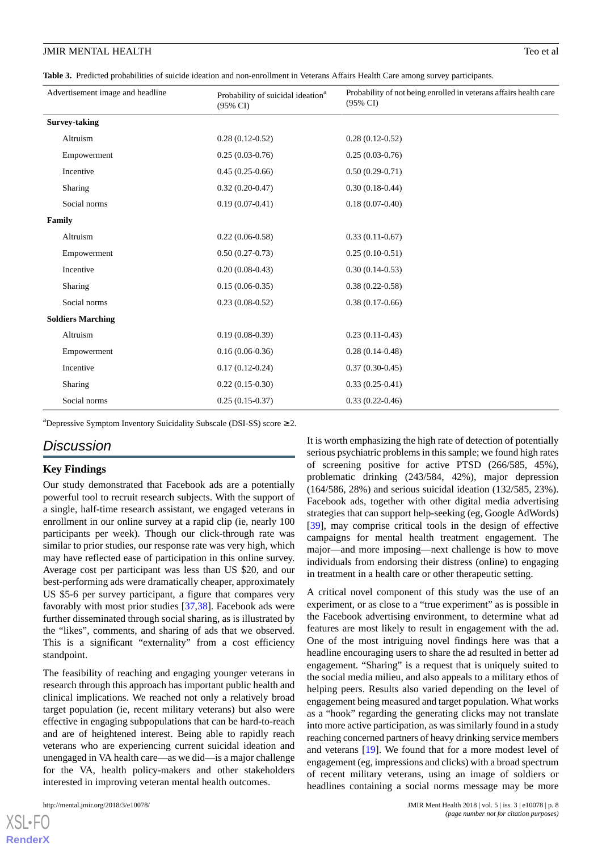<span id="page-7-0"></span>**Table 3.** Predicted probabilities of suicide ideation and non-enrollment in Veterans Affairs Health Care among survey participants.

| Advertisement image and headline | Probability of suicidal ideation <sup>a</sup><br>$(95\% \text{ CI})$ | Probability of not being enrolled in veterans affairs health care<br>$(95\% \text{ CI})$ |
|----------------------------------|----------------------------------------------------------------------|------------------------------------------------------------------------------------------|
| <b>Survey-taking</b>             |                                                                      |                                                                                          |
| Altruism                         | $0.28(0.12-0.52)$                                                    | $0.28(0.12-0.52)$                                                                        |
| Empowerment                      | $0.25(0.03-0.76)$                                                    | $0.25(0.03-0.76)$                                                                        |
| Incentive                        | $0.45(0.25-0.66)$                                                    | $0.50(0.29-0.71)$                                                                        |
| Sharing                          | $0.32(0.20-0.47)$                                                    | $0.30(0.18-0.44)$                                                                        |
| Social norms                     | $0.19(0.07-0.41)$                                                    | $0.18(0.07-0.40)$                                                                        |
| Family                           |                                                                      |                                                                                          |
| Altruism                         | $0.22(0.06-0.58)$                                                    | $0.33(0.11-0.67)$                                                                        |
| Empowerment                      | $0.50(0.27-0.73)$                                                    | $0.25(0.10-0.51)$                                                                        |
| Incentive                        | $0.20(0.08-0.43)$                                                    | $0.30(0.14-0.53)$                                                                        |
| Sharing                          | $0.15(0.06-0.35)$                                                    | $0.38(0.22-0.58)$                                                                        |
| Social norms                     | $0.23(0.08-0.52)$                                                    | $0.38(0.17-0.66)$                                                                        |
| <b>Soldiers Marching</b>         |                                                                      |                                                                                          |
| Altruism                         | $0.19(0.08-0.39)$                                                    | $0.23(0.11-0.43)$                                                                        |
| Empowerment                      | $0.16(0.06-0.36)$                                                    | $0.28(0.14-0.48)$                                                                        |
| Incentive                        | $0.17(0.12-0.24)$                                                    | $0.37(0.30-0.45)$                                                                        |
| Sharing                          | $0.22(0.15-0.30)$                                                    | $0.33(0.25-0.41)$                                                                        |
| Social norms                     | $0.25(0.15-0.37)$                                                    | $0.33(0.22 - 0.46)$                                                                      |

<sup>a</sup>Depressive Symptom Inventory Suicidality Subscale (DSI-SS) score  $\geq 2$ .

# *Discussion*

### **Key Findings**

Our study demonstrated that Facebook ads are a potentially powerful tool to recruit research subjects. With the support of a single, half-time research assistant, we engaged veterans in enrollment in our online survey at a rapid clip (ie, nearly 100 participants per week). Though our click-through rate was similar to prior studies, our response rate was very high, which may have reflected ease of participation in this online survey. Average cost per participant was less than US \$20, and our best-performing ads were dramatically cheaper, approximately US \$5-6 per survey participant, a figure that compares very favorably with most prior studies [[37](#page-10-6)[,38](#page-10-7)]. Facebook ads were further disseminated through social sharing, as is illustrated by the "likes", comments, and sharing of ads that we observed. This is a significant "externality" from a cost efficiency standpoint.

The feasibility of reaching and engaging younger veterans in research through this approach has important public health and clinical implications. We reached not only a relatively broad target population (ie, recent military veterans) but also were effective in engaging subpopulations that can be hard-to-reach and are of heightened interest. Being able to rapidly reach veterans who are experiencing current suicidal ideation and unengaged in VA health care—as we did—is a major challenge for the VA, health policy-makers and other stakeholders interested in improving veteran mental health outcomes.

[XSL](http://www.w3.org/Style/XSL)•FO **[RenderX](http://www.renderx.com/)**

It is worth emphasizing the high rate of detection of potentially serious psychiatric problems in this sample; we found high rates of screening positive for active PTSD (266/585, 45%), problematic drinking (243/584, 42%), major depression (164/586, 28%) and serious suicidal ideation (132/585, 23%). Facebook ads, together with other digital media advertising strategies that can support help-seeking (eg, Google AdWords) [[39\]](#page-10-8), may comprise critical tools in the design of effective campaigns for mental health treatment engagement. The major—and more imposing—next challenge is how to move individuals from endorsing their distress (online) to engaging in treatment in a health care or other therapeutic setting.

A critical novel component of this study was the use of an experiment, or as close to a "true experiment" as is possible in the Facebook advertising environment, to determine what ad features are most likely to result in engagement with the ad. One of the most intriguing novel findings here was that a headline encouraging users to share the ad resulted in better ad engagement. "Sharing" is a request that is uniquely suited to the social media milieu, and also appeals to a military ethos of helping peers. Results also varied depending on the level of engagement being measured and target population. What works as a "hook" regarding the generating clicks may not translate into more active participation, as was similarly found in a study reaching concerned partners of heavy drinking service members and veterans [[19\]](#page-9-11). We found that for a more modest level of engagement (eg, impressions and clicks) with a broad spectrum of recent military veterans, using an image of soldiers or headlines containing a social norms message may be more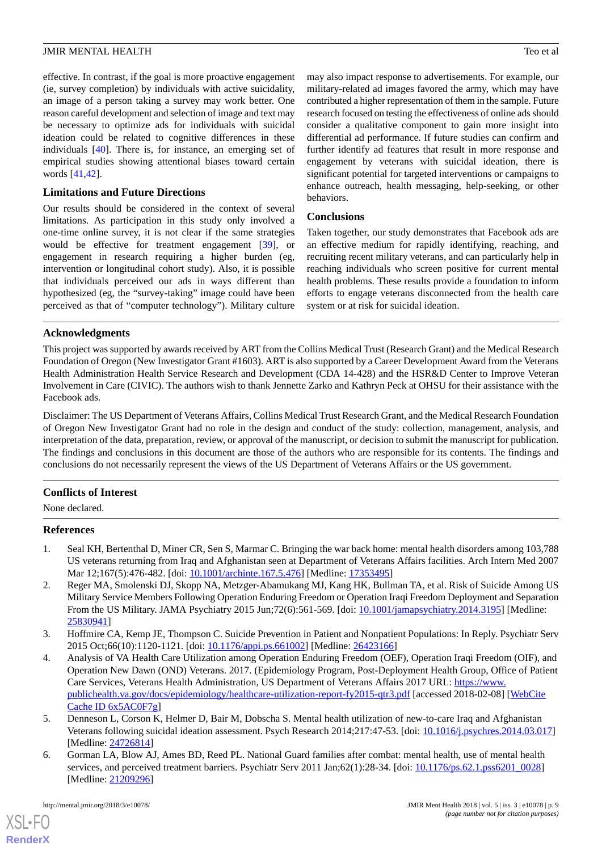effective. In contrast, if the goal is more proactive engagement (ie, survey completion) by individuals with active suicidality, an image of a person taking a survey may work better. One reason careful development and selection of image and text may be necessary to optimize ads for individuals with suicidal ideation could be related to cognitive differences in these individuals [\[40](#page-10-9)]. There is, for instance, an emerging set of empirical studies showing attentional biases toward certain words [[41,](#page-10-10)[42](#page-10-11)].

### **Limitations and Future Directions**

Our results should be considered in the context of several limitations. As participation in this study only involved a one-time online survey, it is not clear if the same strategies would be effective for treatment engagement [[39\]](#page-10-8), or engagement in research requiring a higher burden (eg, intervention or longitudinal cohort study). Also, it is possible that individuals perceived our ads in ways different than hypothesized (eg, the "survey-taking" image could have been perceived as that of "computer technology"). Military culture may also impact response to advertisements. For example, our military-related ad images favored the army, which may have contributed a higher representation of them in the sample. Future research focused on testing the effectiveness of online ads should consider a qualitative component to gain more insight into differential ad performance. If future studies can confirm and further identify ad features that result in more response and engagement by veterans with suicidal ideation, there is significant potential for targeted interventions or campaigns to enhance outreach, health messaging, help-seeking, or other behaviors.

### **Conclusions**

Taken together, our study demonstrates that Facebook ads are an effective medium for rapidly identifying, reaching, and recruiting recent military veterans, and can particularly help in reaching individuals who screen positive for current mental health problems. These results provide a foundation to inform efforts to engage veterans disconnected from the health care system or at risk for suicidal ideation.

### **Acknowledgments**

This project was supported by awards received by ART from the Collins Medical Trust (Research Grant) and the Medical Research Foundation of Oregon (New Investigator Grant #1603). ART is also supported by a Career Development Award from the Veterans Health Administration Health Service Research and Development (CDA 14-428) and the HSR&D Center to Improve Veteran Involvement in Care (CIVIC). The authors wish to thank Jennette Zarko and Kathryn Peck at OHSU for their assistance with the Facebook ads.

Disclaimer: The US Department of Veterans Affairs, Collins Medical Trust Research Grant, and the Medical Research Foundation of Oregon New Investigator Grant had no role in the design and conduct of the study: collection, management, analysis, and interpretation of the data, preparation, review, or approval of the manuscript, or decision to submit the manuscript for publication. The findings and conclusions in this document are those of the authors who are responsible for its contents. The findings and conclusions do not necessarily represent the views of the US Department of Veterans Affairs or the US government.

### <span id="page-8-0"></span>**Conflicts of Interest**

None declared.

### <span id="page-8-1"></span>**References**

- 1. Seal KH, Bertenthal D, Miner CR, Sen S, Marmar C. Bringing the war back home: mental health disorders among 103,788 US veterans returning from Iraq and Afghanistan seen at Department of Veterans Affairs facilities. Arch Intern Med 2007 Mar 12;167(5):476-482. [doi: [10.1001/archinte.167.5.476\]](http://dx.doi.org/10.1001/archinte.167.5.476) [Medline: [17353495](http://www.ncbi.nlm.nih.gov/entrez/query.fcgi?cmd=Retrieve&db=PubMed&list_uids=17353495&dopt=Abstract)]
- <span id="page-8-3"></span><span id="page-8-2"></span>2. Reger MA, Smolenski DJ, Skopp NA, Metzger-Abamukang MJ, Kang HK, Bullman TA, et al. Risk of Suicide Among US Military Service Members Following Operation Enduring Freedom or Operation Iraqi Freedom Deployment and Separation From the US Military. JAMA Psychiatry 2015 Jun;72(6):561-569. [doi: [10.1001/jamapsychiatry.2014.3195\]](http://dx.doi.org/10.1001/jamapsychiatry.2014.3195) [Medline: [25830941](http://www.ncbi.nlm.nih.gov/entrez/query.fcgi?cmd=Retrieve&db=PubMed&list_uids=25830941&dopt=Abstract)]
- 3. Hoffmire CA, Kemp JE, Thompson C. Suicide Prevention in Patient and Nonpatient Populations: In Reply. Psychiatr Serv 2015 Oct;66(10):1120-1121. [doi: [10.1176/appi.ps.661002\]](http://dx.doi.org/10.1176/appi.ps.661002) [Medline: [26423166\]](http://www.ncbi.nlm.nih.gov/entrez/query.fcgi?cmd=Retrieve&db=PubMed&list_uids=26423166&dopt=Abstract)
- <span id="page-8-5"></span><span id="page-8-4"></span>4. Analysis of VA Health Care Utilization among Operation Enduring Freedom (OEF), Operation Iraqi Freedom (OIF), and Operation New Dawn (OND) Veterans. 2017. (Epidemiology Program, Post-Deployment Health Group, Office of Patient Care Services, Veterans Health Administration, US Department of Veterans Affairs 2017 URL: [https://www.](https://www.publichealth.va.gov/docs/epidemiology/healthcare-utilization-report-fy2015-qtr3.pdf) [publichealth.va.gov/docs/epidemiology/healthcare-utilization-report-fy2015-qtr3.pdf](https://www.publichealth.va.gov/docs/epidemiology/healthcare-utilization-report-fy2015-qtr3.pdf) [accessed 2018-02-08] [[WebCite](http://www.webcitation.org/

                                6x5AC0F7g) [Cache ID 6x5AC0F7g](http://www.webcitation.org/

                                6x5AC0F7g)]
- 5. Denneson L, Corson K, Helmer D, Bair M, Dobscha S. Mental health utilization of new-to-care Iraq and Afghanistan Veterans following suicidal ideation assessment. Psych Research 2014;217:47-53. [doi: [10.1016/j.psychres.2014.03.017](http://dx.doi.org/10.1016/j.psychres.2014.03.017)] [Medline: [24726814](http://www.ncbi.nlm.nih.gov/entrez/query.fcgi?cmd=Retrieve&db=PubMed&list_uids=24726814&dopt=Abstract)]
- 6. Gorman LA, Blow AJ, Ames BD, Reed PL. National Guard families after combat: mental health, use of mental health services, and perceived treatment barriers. Psychiatr Serv 2011 Jan;62(1):28-34. [doi: [10.1176/ps.62.1.pss6201\\_0028](http://dx.doi.org/10.1176/ps.62.1.pss6201_0028)] [Medline: [21209296](http://www.ncbi.nlm.nih.gov/entrez/query.fcgi?cmd=Retrieve&db=PubMed&list_uids=21209296&dopt=Abstract)]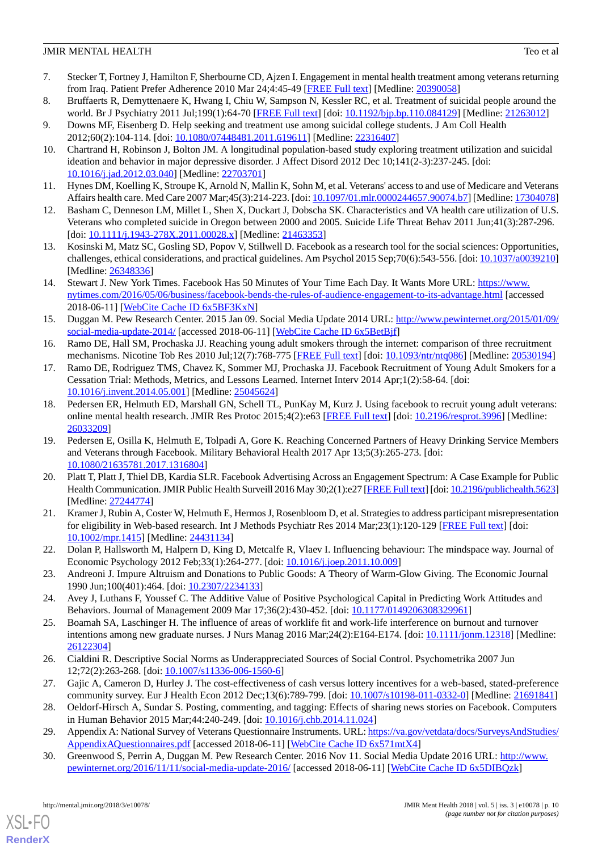- <span id="page-9-0"></span>7. Stecker T, Fortney J, Hamilton F, Sherbourne CD, Ajzen I. Engagement in mental health treatment among veterans returning from Iraq. Patient Prefer Adherence 2010 Mar 24;4:45-49 [[FREE Full text](https://www.dovepress.com/articles.php?article_id=4092)] [Medline: [20390058](http://www.ncbi.nlm.nih.gov/entrez/query.fcgi?cmd=Retrieve&db=PubMed&list_uids=20390058&dopt=Abstract)]
- <span id="page-9-1"></span>8. Bruffaerts R, Demyttenaere K, Hwang I, Chiu W, Sampson N, Kessler RC, et al. Treatment of suicidal people around the world. Br J Psychiatry 2011 Jul;199(1):64-70 [[FREE Full text](http://bjp.rcpsych.org/cgi/pmidlookup?view=long&pmid=21263012)] [doi: [10.1192/bjp.bp.110.084129](http://dx.doi.org/10.1192/bjp.bp.110.084129)] [Medline: [21263012\]](http://www.ncbi.nlm.nih.gov/entrez/query.fcgi?cmd=Retrieve&db=PubMed&list_uids=21263012&dopt=Abstract)
- <span id="page-9-2"></span>9. Downs MF, Eisenberg D. Help seeking and treatment use among suicidal college students. J Am Coll Health 2012;60(2):104-114. [doi: [10.1080/07448481.2011.619611\]](http://dx.doi.org/10.1080/07448481.2011.619611) [Medline: [22316407\]](http://www.ncbi.nlm.nih.gov/entrez/query.fcgi?cmd=Retrieve&db=PubMed&list_uids=22316407&dopt=Abstract)
- 10. Chartrand H, Robinson J, Bolton JM. A longitudinal population-based study exploring treatment utilization and suicidal ideation and behavior in major depressive disorder. J Affect Disord 2012 Dec 10;141(2-3):237-245. [doi: [10.1016/j.jad.2012.03.040\]](http://dx.doi.org/10.1016/j.jad.2012.03.040) [Medline: [22703701\]](http://www.ncbi.nlm.nih.gov/entrez/query.fcgi?cmd=Retrieve&db=PubMed&list_uids=22703701&dopt=Abstract)
- <span id="page-9-4"></span><span id="page-9-3"></span>11. Hynes DM, Koelling K, Stroupe K, Arnold N, Mallin K, Sohn M, et al. Veterans' access to and use of Medicare and Veterans Affairs health care. Med Care 2007 Mar;45(3):214-223. [doi: [10.1097/01.mlr.0000244657.90074.b7\]](http://dx.doi.org/10.1097/01.mlr.0000244657.90074.b7) [Medline: [17304078](http://www.ncbi.nlm.nih.gov/entrez/query.fcgi?cmd=Retrieve&db=PubMed&list_uids=17304078&dopt=Abstract)]
- <span id="page-9-5"></span>12. Basham C, Denneson LM, Millet L, Shen X, Duckart J, Dobscha SK. Characteristics and VA health care utilization of U.S. Veterans who completed suicide in Oregon between 2000 and 2005. Suicide Life Threat Behav 2011 Jun;41(3):287-296. [doi: [10.1111/j.1943-278X.2011.00028.x\]](http://dx.doi.org/10.1111/j.1943-278X.2011.00028.x) [Medline: [21463353](http://www.ncbi.nlm.nih.gov/entrez/query.fcgi?cmd=Retrieve&db=PubMed&list_uids=21463353&dopt=Abstract)]
- <span id="page-9-6"></span>13. Kosinski M, Matz SC, Gosling SD, Popov V, Stillwell D. Facebook as a research tool for the social sciences: Opportunities, challenges, ethical considerations, and practical guidelines. Am Psychol 2015 Sep;70(6):543-556. [doi: [10.1037/a0039210](http://dx.doi.org/10.1037/a0039210)] [Medline: [26348336](http://www.ncbi.nlm.nih.gov/entrez/query.fcgi?cmd=Retrieve&db=PubMed&list_uids=26348336&dopt=Abstract)]
- <span id="page-9-7"></span>14. Stewart J. New York Times. Facebook Has 50 Minutes of Your Time Each Day. It Wants More URL: [https://www.](https://www.nytimes.com/2016/05/06/business/facebook-bends-the-rules-of-audience-engagement-to-its-advantage.html) [nytimes.com/2016/05/06/business/facebook-bends-the-rules-of-audience-engagement-to-its-advantage.html](https://www.nytimes.com/2016/05/06/business/facebook-bends-the-rules-of-audience-engagement-to-its-advantage.html) [accessed 2018-06-11] [\[WebCite Cache ID 6x5BF3KxN\]](http://www.webcitation.org/

                                6x5BF3KxN)
- <span id="page-9-8"></span>15. Duggan M. Pew Research Center. 2015 Jan 09. Social Media Update 2014 URL: [http://www.pewinternet.org/2015/01/09/](http://www.pewinternet.org/2015/01/09/social-media-update-2014/) [social-media-update-2014/](http://www.pewinternet.org/2015/01/09/social-media-update-2014/) [accessed 2018-06-11] [WebCite Cache ID 6x5BetBif]
- <span id="page-9-9"></span>16. Ramo DE, Hall SM, Prochaska JJ. Reaching young adult smokers through the internet: comparison of three recruitment mechanisms. Nicotine Tob Res 2010 Jul;12(7):768-775 [[FREE Full text](http://europepmc.org/abstract/MED/20530194)] [doi: [10.1093/ntr/ntq086](http://dx.doi.org/10.1093/ntr/ntq086)] [Medline: [20530194](http://www.ncbi.nlm.nih.gov/entrez/query.fcgi?cmd=Retrieve&db=PubMed&list_uids=20530194&dopt=Abstract)]
- <span id="page-9-10"></span>17. Ramo DE, Rodriguez TMS, Chavez K, Sommer MJ, Prochaska JJ. Facebook Recruitment of Young Adult Smokers for a Cessation Trial: Methods, Metrics, and Lessons Learned. Internet Interv 2014 Apr;1(2):58-64. [doi: [10.1016/j.invent.2014.05.001](http://dx.doi.org/10.1016/j.invent.2014.05.001)] [Medline: [25045624\]](http://www.ncbi.nlm.nih.gov/entrez/query.fcgi?cmd=Retrieve&db=PubMed&list_uids=25045624&dopt=Abstract)
- <span id="page-9-11"></span>18. Pedersen ER, Helmuth ED, Marshall GN, Schell TL, PunKay M, Kurz J. Using facebook to recruit young adult veterans: online mental health research. JMIR Res Protoc 2015;4(2):e63 [[FREE Full text](http://www.researchprotocols.org/2015/2/e63/)] [doi: [10.2196/resprot.3996](http://dx.doi.org/10.2196/resprot.3996)] [Medline: [26033209](http://www.ncbi.nlm.nih.gov/entrez/query.fcgi?cmd=Retrieve&db=PubMed&list_uids=26033209&dopt=Abstract)]
- <span id="page-9-12"></span>19. Pedersen E, Osilla K, Helmuth E, Tolpadi A, Gore K. Reaching Concerned Partners of Heavy Drinking Service Members and Veterans through Facebook. Military Behavioral Health 2017 Apr 13;5(3):265-273. [doi: [10.1080/21635781.2017.1316804\]](http://dx.doi.org/10.1080/21635781.2017.1316804)
- <span id="page-9-13"></span>20. Platt T, Platt J, Thiel DB, Kardia SLR. Facebook Advertising Across an Engagement Spectrum: A Case Example for Public Health Communication. JMIR Public Health Surveill 2016 May 30;2(1):e27 [\[FREE Full text\]](http://publichealth.jmir.org/2016/1/e27/) [doi: [10.2196/publichealth.5623\]](http://dx.doi.org/10.2196/publichealth.5623) [Medline: [27244774](http://www.ncbi.nlm.nih.gov/entrez/query.fcgi?cmd=Retrieve&db=PubMed&list_uids=27244774&dopt=Abstract)]
- <span id="page-9-15"></span><span id="page-9-14"></span>21. Kramer J, Rubin A, Coster W, Helmuth E, Hermos J, Rosenbloom D, et al. Strategies to address participant misrepresentation for eligibility in Web-based research. Int J Methods Psychiatr Res 2014 Mar;23(1):120-129 [[FREE Full text](http://europepmc.org/abstract/MED/24431134)] [doi: [10.1002/mpr.1415\]](http://dx.doi.org/10.1002/mpr.1415) [Medline: [24431134\]](http://www.ncbi.nlm.nih.gov/entrez/query.fcgi?cmd=Retrieve&db=PubMed&list_uids=24431134&dopt=Abstract)
- <span id="page-9-17"></span><span id="page-9-16"></span>22. Dolan P, Hallsworth M, Halpern D, King D, Metcalfe R, Vlaev I. Influencing behaviour: The mindspace way. Journal of Economic Psychology 2012 Feb;33(1):264-277. [doi: [10.1016/j.joep.2011.10.009\]](http://dx.doi.org/10.1016/j.joep.2011.10.009)
- 23. Andreoni J. Impure Altruism and Donations to Public Goods: A Theory of Warm-Glow Giving. The Economic Journal 1990 Jun;100(401):464. [doi: [10.2307/2234133\]](http://dx.doi.org/10.2307/2234133)
- <span id="page-9-18"></span>24. Avey J, Luthans F, Youssef C. The Additive Value of Positive Psychological Capital in Predicting Work Attitudes and Behaviors. Journal of Management 2009 Mar 17;36(2):430-452. [doi: [10.1177/0149206308329961](http://dx.doi.org/10.1177/0149206308329961)]
- <span id="page-9-20"></span><span id="page-9-19"></span>25. Boamah SA, Laschinger H. The influence of areas of worklife fit and work-life interference on burnout and turnover intentions among new graduate nurses. J Nurs Manag 2016 Mar;24(2):E164-E174. [doi: [10.1111/jonm.12318\]](http://dx.doi.org/10.1111/jonm.12318) [Medline: [26122304](http://www.ncbi.nlm.nih.gov/entrez/query.fcgi?cmd=Retrieve&db=PubMed&list_uids=26122304&dopt=Abstract)]
- <span id="page-9-21"></span>26. Cialdini R. Descriptive Social Norms as Underappreciated Sources of Social Control. Psychometrika 2007 Jun 12;72(2):263-268. [doi: [10.1007/s11336-006-1560-6\]](http://dx.doi.org/10.1007/s11336-006-1560-6)
- <span id="page-9-22"></span>27. Gajic A, Cameron D, Hurley J. The cost-effectiveness of cash versus lottery incentives for a web-based, stated-preference community survey. Eur J Health Econ 2012 Dec;13(6):789-799. [doi: [10.1007/s10198-011-0332-0](http://dx.doi.org/10.1007/s10198-011-0332-0)] [Medline: [21691841](http://www.ncbi.nlm.nih.gov/entrez/query.fcgi?cmd=Retrieve&db=PubMed&list_uids=21691841&dopt=Abstract)]
- 28. Oeldorf-Hirsch A, Sundar S. Posting, commenting, and tagging: Effects of sharing news stories on Facebook. Computers in Human Behavior 2015 Mar;44:240-249. [doi: [10.1016/j.chb.2014.11.024](http://dx.doi.org/10.1016/j.chb.2014.11.024)]
- 29. Appendix A: National Survey of Veterans Questionnaire Instruments. URL: [https://va.gov/vetdata/docs/SurveysAndStudies/](https://va.gov/vetdata/docs/SurveysAndStudies/AppendixAQuestionnaires.pdf) [AppendixAQuestionnaires.pdf](https://va.gov/vetdata/docs/SurveysAndStudies/AppendixAQuestionnaires.pdf) [accessed 2018-06-11] [[WebCite Cache ID 6x571mtX4](http://www.webcitation.org/

                                6x571mtX4)]
- 30. Greenwood S, Perrin A, Duggan M. Pew Research Center. 2016 Nov 11. Social Media Update 2016 URL: [http://www.](http://www.pewinternet.org/2016/11/11/social-media-update-2016/) [pewinternet.org/2016/11/11/social-media-update-2016/](http://www.pewinternet.org/2016/11/11/social-media-update-2016/) [accessed 2018-06-11] [[WebCite Cache ID 6x5DIBQzk](http://www.webcitation.org/

                                6x5DIBQzk)]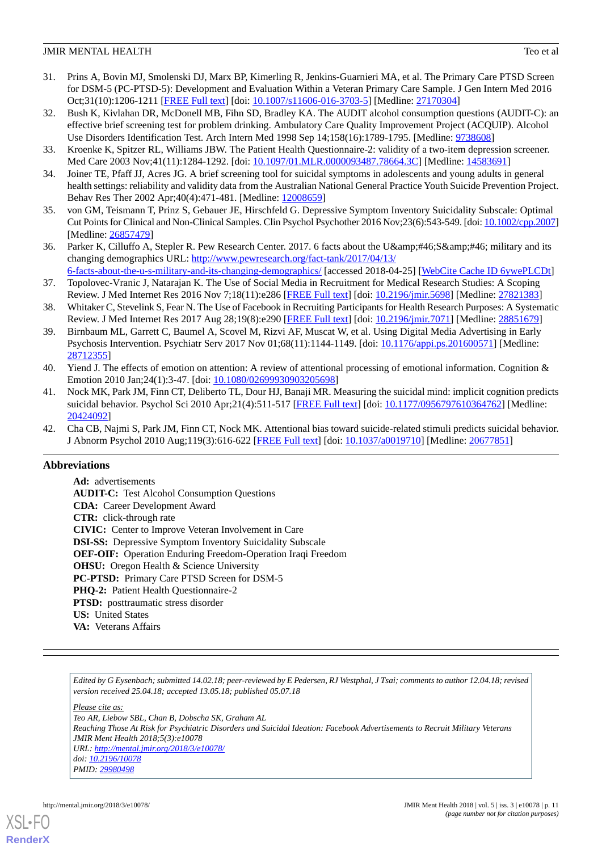- <span id="page-10-0"></span>31. Prins A, Bovin MJ, Smolenski DJ, Marx BP, Kimerling R, Jenkins-Guarnieri MA, et al. The Primary Care PTSD Screen for DSM-5 (PC-PTSD-5): Development and Evaluation Within a Veteran Primary Care Sample. J Gen Intern Med 2016 Oct;31(10):1206-1211 [\[FREE Full text\]](http://europepmc.org/abstract/MED/27170304) [doi: [10.1007/s11606-016-3703-5](http://dx.doi.org/10.1007/s11606-016-3703-5)] [Medline: [27170304\]](http://www.ncbi.nlm.nih.gov/entrez/query.fcgi?cmd=Retrieve&db=PubMed&list_uids=27170304&dopt=Abstract)
- <span id="page-10-1"></span>32. Bush K, Kivlahan DR, McDonell MB, Fihn SD, Bradley KA. The AUDIT alcohol consumption questions (AUDIT-C): an effective brief screening test for problem drinking. Ambulatory Care Quality Improvement Project (ACQUIP). Alcohol Use Disorders Identification Test. Arch Intern Med 1998 Sep 14;158(16):1789-1795. [Medline: [9738608\]](http://www.ncbi.nlm.nih.gov/entrez/query.fcgi?cmd=Retrieve&db=PubMed&list_uids=9738608&dopt=Abstract)
- <span id="page-10-3"></span><span id="page-10-2"></span>33. Kroenke K, Spitzer RL, Williams JBW. The Patient Health Questionnaire-2: validity of a two-item depression screener. Med Care 2003 Nov;41(11):1284-1292. [doi: [10.1097/01.MLR.0000093487.78664.3C\]](http://dx.doi.org/10.1097/01.MLR.0000093487.78664.3C) [Medline: [14583691\]](http://www.ncbi.nlm.nih.gov/entrez/query.fcgi?cmd=Retrieve&db=PubMed&list_uids=14583691&dopt=Abstract)
- <span id="page-10-4"></span>34. Joiner TE, Pfaff JJ, Acres JG. A brief screening tool for suicidal symptoms in adolescents and young adults in general health settings: reliability and validity data from the Australian National General Practice Youth Suicide Prevention Project. Behav Res Ther 2002 Apr;40(4):471-481. [Medline: [12008659\]](http://www.ncbi.nlm.nih.gov/entrez/query.fcgi?cmd=Retrieve&db=PubMed&list_uids=12008659&dopt=Abstract)
- <span id="page-10-5"></span>35. von GM, Teismann T, Prinz S, Gebauer JE, Hirschfeld G. Depressive Symptom Inventory Suicidality Subscale: Optimal Cut Points for Clinical and Non-Clinical Samples. Clin Psychol Psychother 2016 Nov;23(6):543-549. [doi: [10.1002/cpp.2007\]](http://dx.doi.org/10.1002/cpp.2007) [Medline: [26857479](http://www.ncbi.nlm.nih.gov/entrez/query.fcgi?cmd=Retrieve&db=PubMed&list_uids=26857479&dopt=Abstract)]
- <span id="page-10-6"></span>36. Parker K, Cilluffo A, Stepler R. Pew Research Center. 2017. 6 facts about the U.S. military and its changing demographics URL: [http://www.pewresearch.org/fact-tank/2017/04/13/](http://www.pewresearch.org/fact-tank/2017/04/13/6-facts-about-the-u-s-military-and-its-changing-demographics/)
- <span id="page-10-7"></span>[6-facts-about-the-u-s-military-and-its-changing-demographics/](http://www.pewresearch.org/fact-tank/2017/04/13/6-facts-about-the-u-s-military-and-its-changing-demographics/) [accessed 2018-04-25] [\[WebCite Cache ID 6ywePLCDt\]](http://www.webcitation.org/

                                6ywePLCDt) 37. Topolovec-Vranic J, Natarajan K. The Use of Social Media in Recruitment for Medical Research Studies: A Scoping Review. J Med Internet Res 2016 Nov 7;18(11):e286 [[FREE Full text](http://www.jmir.org/2016/11/e286/)] [doi: [10.2196/jmir.5698](http://dx.doi.org/10.2196/jmir.5698)] [Medline: [27821383](http://www.ncbi.nlm.nih.gov/entrez/query.fcgi?cmd=Retrieve&db=PubMed&list_uids=27821383&dopt=Abstract)]
- <span id="page-10-8"></span>38. Whitaker C, Stevelink S, Fear N. The Use of Facebook in Recruiting Participants for Health Research Purposes: A Systematic Review. J Med Internet Res 2017 Aug 28;19(8):e290 [[FREE Full text](http://www.jmir.org/2017/8/e290/)] [doi: [10.2196/jmir.7071\]](http://dx.doi.org/10.2196/jmir.7071) [Medline: [28851679](http://www.ncbi.nlm.nih.gov/entrez/query.fcgi?cmd=Retrieve&db=PubMed&list_uids=28851679&dopt=Abstract)]
- <span id="page-10-9"></span>39. Birnbaum ML, Garrett C, Baumel A, Scovel M, Rizvi AF, Muscat W, et al. Using Digital Media Advertising in Early Psychosis Intervention. Psychiatr Serv 2017 Nov 01;68(11):1144-1149. [doi: [10.1176/appi.ps.201600571](http://dx.doi.org/10.1176/appi.ps.201600571)] [Medline: [28712355](http://www.ncbi.nlm.nih.gov/entrez/query.fcgi?cmd=Retrieve&db=PubMed&list_uids=28712355&dopt=Abstract)]
- <span id="page-10-10"></span>40. Yiend J. The effects of emotion on attention: A review of attentional processing of emotional information. Cognition & Emotion 2010 Jan;24(1):3-47. [doi: [10.1080/02699930903205698\]](http://dx.doi.org/10.1080/02699930903205698)
- <span id="page-10-11"></span>41. Nock MK, Park JM, Finn CT, Deliberto TL, Dour HJ, Banaji MR. Measuring the suicidal mind: implicit cognition predicts suicidal behavior. Psychol Sci 2010 Apr;21(4):511-517 [\[FREE Full text\]](http://europepmc.org/abstract/MED/20424092) [doi: [10.1177/0956797610364762](http://dx.doi.org/10.1177/0956797610364762)] [Medline: [20424092](http://www.ncbi.nlm.nih.gov/entrez/query.fcgi?cmd=Retrieve&db=PubMed&list_uids=20424092&dopt=Abstract)]
- 42. Cha CB, Najmi S, Park JM, Finn CT, Nock MK. Attentional bias toward suicide-related stimuli predicts suicidal behavior. J Abnorm Psychol 2010 Aug;119(3):616-622 [\[FREE Full text](http://europepmc.org/abstract/MED/20677851)] [doi: [10.1037/a0019710](http://dx.doi.org/10.1037/a0019710)] [Medline: [20677851](http://www.ncbi.nlm.nih.gov/entrez/query.fcgi?cmd=Retrieve&db=PubMed&list_uids=20677851&dopt=Abstract)]

# **Abbreviations**

**Ad:** advertisements **AUDIT-C:** Test Alcohol Consumption Questions **CDA:** Career Development Award **CTR:** click-through rate **CIVIC:** Center to Improve Veteran Involvement in Care **DSI-SS:** Depressive Symptom Inventory Suicidality Subscale **OEF-OIF:** Operation Enduring Freedom-Operation Iraqi Freedom **OHSU:** Oregon Health & Science University **PC-PTSD:** Primary Care PTSD Screen for DSM-5 **PHQ-2:** Patient Health Questionnaire-2 **PTSD:** posttraumatic stress disorder **US:** United States **VA:** Veterans Affairs

*Edited by G Eysenbach; submitted 14.02.18; peer-reviewed by E Pedersen, RJ Westphal, J Tsai; comments to author 12.04.18; revised version received 25.04.18; accepted 13.05.18; published 05.07.18*

*Please cite as:*

*Teo AR, Liebow SBL, Chan B, Dobscha SK, Graham AL Reaching Those At Risk for Psychiatric Disorders and Suicidal Ideation: Facebook Advertisements to Recruit Military Veterans JMIR Ment Health 2018;5(3):e10078 URL: <http://mental.jmir.org/2018/3/e10078/> doi: [10.2196/10078](http://dx.doi.org/10.2196/10078) PMID: [29980498](http://www.ncbi.nlm.nih.gov/entrez/query.fcgi?cmd=Retrieve&db=PubMed&list_uids=29980498&dopt=Abstract)*